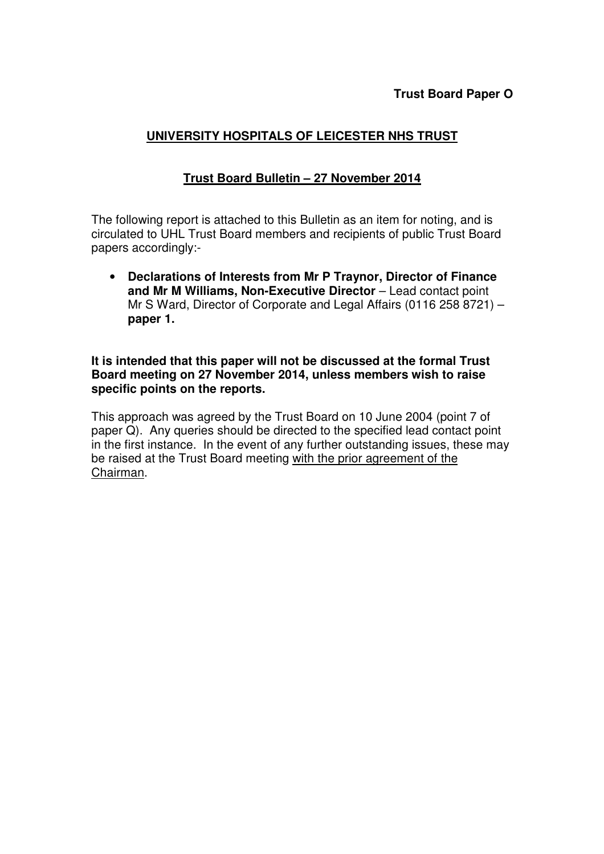## **UNIVERSITY HOSPITALS OF LEICESTER NHS TRUST**

## **Trust Board Bulletin – 27 November 2014**

The following report is attached to this Bulletin as an item for noting, and is circulated to UHL Trust Board members and recipients of public Trust Board papers accordingly:-

• **Declarations of Interests from Mr P Traynor, Director of Finance**  and Mr M Williams, Non-Executive Director - Lead contact point Mr S Ward, Director of Corporate and Legal Affairs (0116 258 8721) – **paper 1.** 

## **It is intended that this paper will not be discussed at the formal Trust Board meeting on 27 November 2014, unless members wish to raise specific points on the reports.**

This approach was agreed by the Trust Board on 10 June 2004 (point 7 of paper Q). Any queries should be directed to the specified lead contact point in the first instance. In the event of any further outstanding issues, these may be raised at the Trust Board meeting with the prior agreement of the Chairman.